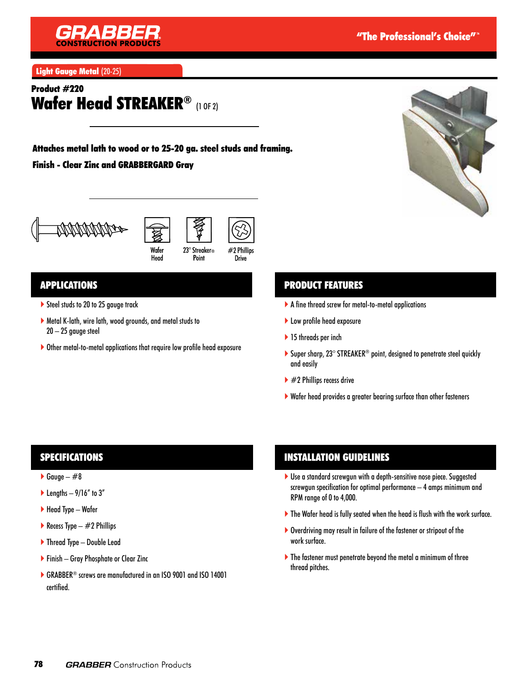

Light Gauge Metal (20-25)

## Product #220 Wafer Head STREAKER® (1 OF 2)

# Attaches metal lath to wood or to 25-20 ga. steel studs and framing.

#### Finish - Clear Zinc and GRABBERGARD Gray







Head

23° Streaker® Point

#2 Phillips

**Drive** 

## APPLICATIONS

- Steel studs to 20 to 25 gauge track
- Metal K-lath, wire lath, wood grounds, and metal studs to 20 – 25 gauge steel
- Other metal-to-metal applications that require low profile head exposure

## PRODUCT FEATURES

- A fine thread screw for metal-to-metal applications
- ▶ Low profile head exposure
- ▶ 15 threads per inch
- ▶ Super sharp, 23° STREAKER<sup>®</sup> point, designed to penetrate steel quickly and easily
- $\blacktriangleright$  #2 Phillips recess drive
- Wafer head provides a greater bearing surface than other fasteners

## SPECIFICATIONS

- Gauge  $#8$
- lengths  $-9/16''$  to 3"
- $\blacktriangleright$  Head Type Wafer
- Recess Type  $-$  #2 Phillips
- ▶ Thread Type Double Lead
- ▶ Finish Gray Phosphate or Clear Zinc
- ▶ GRABBER<sup>®</sup> screws are manufactured in an ISO 9001 and ISO 14001 certified.

## INSTALLATION GUIDELINES

- Use a standard screwgun with a depth-sensitive nose piece. Suggested screwgun specification for optimal performance – 4 amps minimum and RPM range of 0 to 4,000.
- The Wafer head is fully seated when the head is flush with the work surface.
- Overdriving may result in failure of the fastener or stripout of the work surface.
- The fastener must penetrate beyond the metal a minimum of three thread pitches.